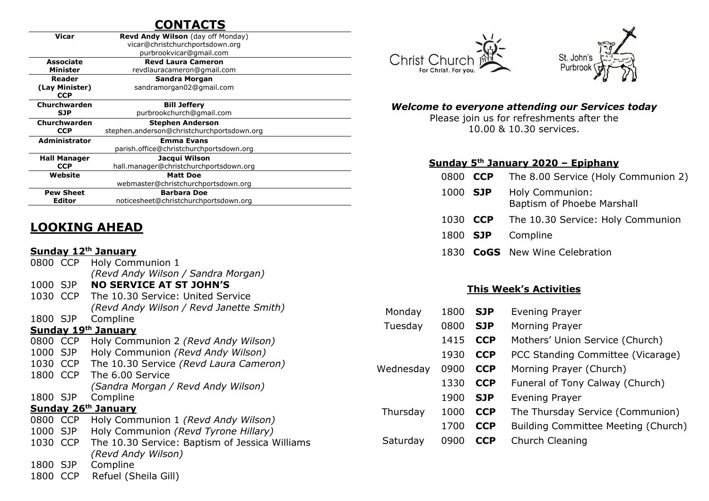# **CONTACTS**

| Vicar                | <b>Revd Andy Wilson</b> (day off Monday)   |  |  |
|----------------------|--------------------------------------------|--|--|
|                      | vicar@christchurchportsdown.org            |  |  |
|                      | purbrookvicar@gmail.com                    |  |  |
| Associate            | <b>Revd Laura Cameron</b>                  |  |  |
| <b>Minister</b>      | revdlauracameron@gmail.com                 |  |  |
| Reader               | Sandra Morgan                              |  |  |
| (Lay Minister)       | sandramorgan02@gmail.com                   |  |  |
| <b>CCP</b>           |                                            |  |  |
| Churchwarden         | <b>Bill Jeffery</b>                        |  |  |
| <b>SJP</b>           | purbrookchurch@gmail.com                   |  |  |
| Churchwarden         | <b>Stephen Anderson</b>                    |  |  |
| <b>CCP</b>           | stephen.anderson@christchurchportsdown.org |  |  |
| <b>Administrator</b> | <b>Emma Evans</b>                          |  |  |
|                      | parish.office@christchurchportsdown.org    |  |  |
| <b>Hall Manager</b>  | Jacqui Wilson                              |  |  |
| <b>CCP</b>           | hall.manager@christchurchportsdown.org     |  |  |
| Website              | <b>Matt Doe</b>                            |  |  |
|                      | webmaster@christchurchportsdown.org        |  |  |
| <b>Pew Sheet</b>     | <b>Barbara Doe</b>                         |  |  |
| Editor               | noticesheet@christchurchportsdown.org      |  |  |

# **LOOKING AHEAD**

#### **Sunday 12th January**

| .                          |            |                                                |  |  |  |  |  |
|----------------------------|------------|------------------------------------------------|--|--|--|--|--|
| 0800 CCP                   |            | Holy Communion 1                               |  |  |  |  |  |
|                            |            | (Revd Andy Wilson / Sandra Morgan)             |  |  |  |  |  |
| 1000 SJP                   |            | <b>NO SERVICE AT ST JOHN'S</b>                 |  |  |  |  |  |
| 1030 CCP                   |            | The 10.30 Service: United Service              |  |  |  |  |  |
|                            |            | (Revd Andy Wilson / Revd Janette Smith)        |  |  |  |  |  |
| 1800 SJP                   |            | Compline                                       |  |  |  |  |  |
| <b>Sunday 19th January</b> |            |                                                |  |  |  |  |  |
|                            | 0800 CCP   | Holy Communion 2 (Revd Andy Wilson)            |  |  |  |  |  |
| 1000 SJP                   |            | Holy Communion (Revd Andy Wilson)              |  |  |  |  |  |
| 1030 CCP                   |            | The 10.30 Service (Revd Laura Cameron)         |  |  |  |  |  |
| 1800 CCP                   |            | The 6.00 Service                               |  |  |  |  |  |
|                            |            | (Sandra Morgan / Revd Andy Wilson)             |  |  |  |  |  |
| 1800 SJP                   |            | Compline                                       |  |  |  |  |  |
| <b>Sunday 26th January</b> |            |                                                |  |  |  |  |  |
| 0800 CCP                   |            | Holy Communion 1 (Revd Andy Wilson)            |  |  |  |  |  |
| 1000 SJP                   |            | Holy Communion (Revd Tyrone Hillary)           |  |  |  |  |  |
| 1030 CCP                   |            | The 10.30 Service: Baptism of Jessica Williams |  |  |  |  |  |
|                            |            | (Revd Andy Wilson)                             |  |  |  |  |  |
| 1800                       | SJP        | Compline                                       |  |  |  |  |  |
| 1800                       | <b>CCP</b> | Refuel (Sheila Gill)                           |  |  |  |  |  |





#### *Welcome to everyone attending our Services today*

Please join us for refreshments after the 10.00 & 10.30 services.

#### **Sunday 5 th January 2020 – Epiphany**

|          | 0800 CCP The 8.00 Service (Holy Communion 2)  |
|----------|-----------------------------------------------|
| 1000 SJP | Holy Communion:<br>Baptism of Phoebe Marshall |
|          | 1030 CCP The 10.30 Service: Holy Communion    |
|          | 1800 <b>SJP</b> Compline                      |
|          | 1830 CoGS New Wine Celebration                |

#### **This Week's Activities**

| Monday    | 1800 | <b>SJP</b> | Evening Prayer                      |
|-----------|------|------------|-------------------------------------|
| Tuesday   | 0800 | <b>SJP</b> | Morning Prayer                      |
|           | 1415 | <b>CCP</b> | Mothers' Union Service (Church)     |
|           | 1930 | <b>CCP</b> | PCC Standing Committee (Vicarage)   |
| Wednesday | 0900 | <b>CCP</b> | Morning Prayer (Church)             |
|           | 1330 | <b>CCP</b> | Funeral of Tony Calway (Church)     |
|           | 1900 | <b>SJP</b> | Evening Prayer                      |
| Thursday  | 1000 | <b>CCP</b> | The Thursday Service (Communion)    |
|           | 1700 | <b>CCP</b> | Building Committee Meeting (Church) |
| Saturday  | 0900 | <b>CCP</b> | Church Cleaning                     |
|           |      |            |                                     |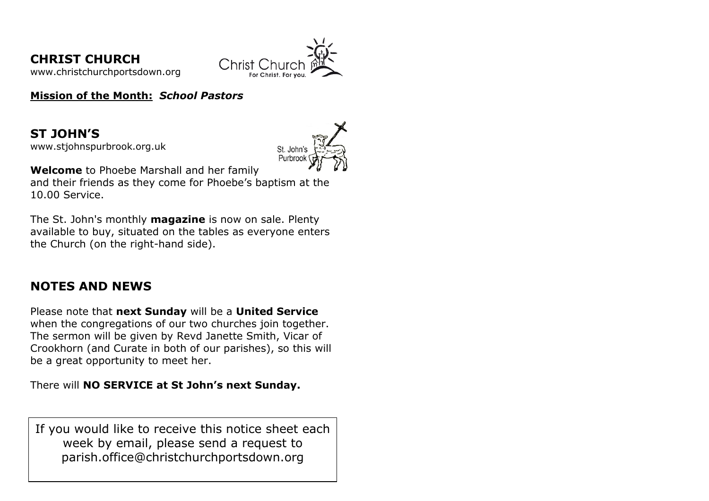**CHRIST CHURCH**  [www.christchurchportsdown.org](http://www.christchurchportsdown.org/) 



**Mission of the Month:** *School Pastors*

**ST JOHN'S** [www.stjohnspurbrook.org.uk](http://www.stjohnspurbrook.org.uk/)



**Welcome** to Phoebe Marshall and her family

and their friends as they come for Phoebe's baptism at the 10.00 Service.

The St. John's monthly **magazine** is now on sale. Plenty available to buy, situated on the tables as everyone enters the Church (on the right-hand side).

# **NOTES AND NEWS**

Please note that **next Sunday** will be a **United Service** when the congregations of our two churches join together. The sermon will be given by Revd Janette Smith, Vicar of Crookhorn (and Curate in both of our parishes), so this will be a great opportunity to meet her.

There will **NO SERVICE at St John's next Sunday.**

If you would like to receive this notice sheet each week by email, please send a request to parish.office@christchurchportsdown.org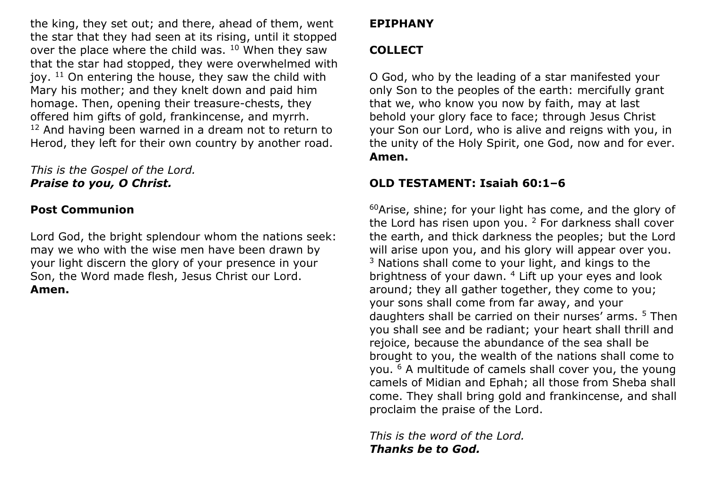the king, they set out; and there, ahead of them, went the star that they had seen at its rising, until it stopped over the place where the child was. <sup>10</sup> When they saw that the star had stopped, they were overwhelmed with joy.  $11$  On entering the house, they saw the child with Mary his mother; and they knelt down and paid him homage. Then, opening their treasure-chests, they offered him gifts of gold, frankincense, and myrrh. <sup>12</sup> And having been warned in a dream not to return to Herod, they left for their own country by another road.

### *This is the Gospel of the Lord. Praise to you, O Christ.*

## **Post Communion**

Lord God, the bright splendour whom the nations seek: may we who with the wise men have been drawn by your light discern the glory of your presence in your Son, the Word made flesh, Jesus Christ our Lord. **Amen.**

# **EPIPHANY**

# **COLLECT**

O God, who by the leading of a star manifested your only Son to the peoples of the earth: mercifully grant that we, who know you now by faith, may at last behold your glory face to face; through Jesus Christ your Son our Lord, who is alive and reigns with you, in the unity of the Holy Spirit, one God, now and for ever. **Amen.**

# **OLD TESTAMENT: Isaiah 60:1–6**

 $60$ Arise, shine; for your light has come, and the glory of the Lord has risen upon you.  $2$  For darkness shall cover the earth, and thick darkness the peoples; but the Lord will arise upon you, and his glory will appear over you.  $3$  Nations shall come to your light, and kings to the brightness of your dawn. <sup>4</sup> Lift up your eyes and look around; they all gather together, they come to you; your sons shall come from far away, and your daughters shall be carried on their nurses' arms. <sup>5</sup> Then you shall see and be radiant; your heart shall thrill and rejoice, because the abundance of the sea shall be brought to you, the wealth of the nations shall come to you. <sup>6</sup> A multitude of camels shall cover you, the young camels of Midian and Ephah; all those from Sheba shall come. They shall bring gold and frankincense, and shall proclaim the praise of the Lord.

*This is the word of the Lord. Thanks be to God.*